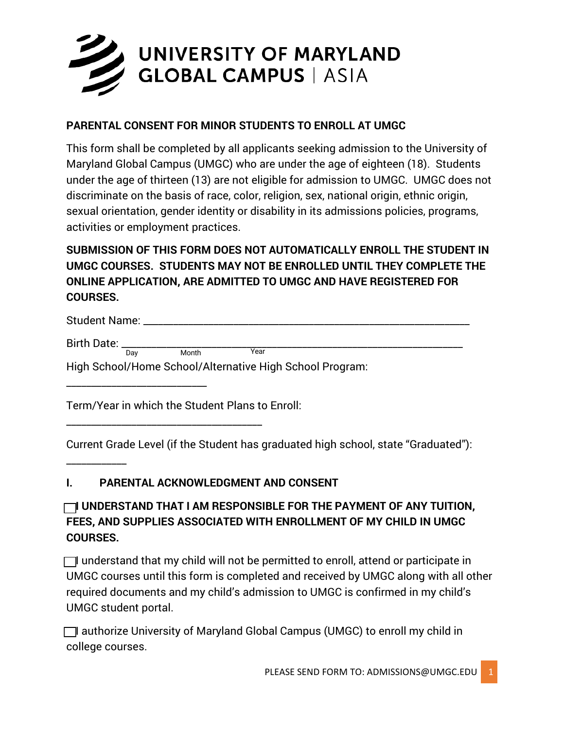

#### **PARENTAL CONSENT FOR MINOR STUDENTS TO ENROLL AT UMGC**

This form shall be completed by all applicants seeking admission to the University of Maryland Global Campus (UMGC) who are under the age of eighteen (18). Students under the age of thirteen (13) are not eligible for admission to UMGC. UMGC does not discriminate on the basis of race, color, religion, sex, national origin, ethnic origin, sexual orientation, gender identity or disability in its admissions policies, programs, activities or employment practices.

## **SUBMISSION OF THIS FORM DOES NOT AUTOMATICALLY ENROLL THE STUDENT IN UMGC COURSES. STUDENTS MAY NOT BE ENROLLED UNTIL THEY COMPLETE THE ONLINE APPLICATION, ARE ADMITTED TO UMGC AND HAVE REGISTERED FOR COURSES.**

| Student Name:                                            |     |       |      |  |
|----------------------------------------------------------|-----|-------|------|--|
| Birth Date:                                              |     |       |      |  |
|                                                          | Dav | Month | Year |  |
| High School/Home School/Alternative High School Program: |     |       |      |  |

Term/Year in which the Student Plans to Enroll:

\_\_\_\_\_\_\_\_\_\_\_\_\_\_\_\_\_\_\_\_\_\_\_\_\_\_\_\_\_\_\_\_\_\_\_\_\_\_\_

\_\_\_\_\_\_\_\_\_\_\_\_\_\_\_\_\_\_\_\_\_\_\_\_\_\_\_\_

\_\_\_\_\_\_\_\_\_\_\_\_

Current Grade Level (if the Student has graduated high school, state "Graduated"):

#### **I. PARENTAL ACKNOWLEDGMENT AND CONSENT**

## **□ I UNDERSTAND THAT I AM RESPONSIBLE FOR THE PAYMENT OF ANY TUITION, FEES, AND SUPPLIES ASSOCIATED WITH ENROLLMENT OF MY CHILD IN UMGC COURSES.**

 $\Box$  understand that my child will not be permitted to enroll, attend or participate in UMGC courses until this form is completed and received by UMGC along with all other required documents and my child's admission to UMGC is confirmed in my child's UMGC student portal.

□ I authorize University of Maryland Global Campus (UMGC) to enroll my child in college courses.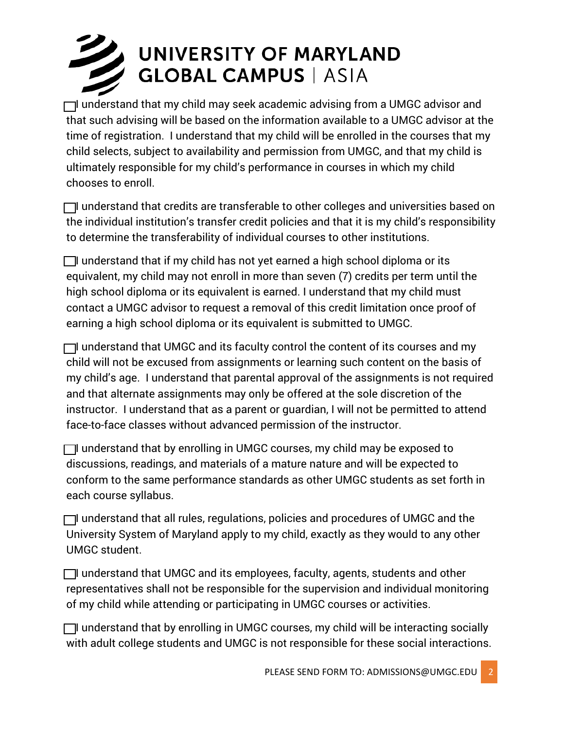# UNIVERSITY OF MARYLAND **GLOBAL CAMPUS | ASIA**

 $\Box$  understand that my child may seek academic advising from a UMGC advisor and that such advising will be based on the information available to a UMGC advisor at the time of registration. I understand that my child will be enrolled in the courses that my child selects, subject to availability and permission from UMGC, and that my child is ultimately responsible for my child's performance in courses in which my child chooses to enroll.

 $\Box$  understand that credits are transferable to other colleges and universities based on the individual institution's transfer credit policies and that it is my child's responsibility to determine the transferability of individual courses to other institutions.

 $\Box$  understand that if my child has not yet earned a high school diploma or its equivalent, my child may not enroll in more than seven (7) credits per term until the high school diploma or its equivalent is earned. I understand that my child must contact a UMGC advisor to request a removal of this credit limitation once proof of earning a high school diploma or its equivalent is submitted to UMGC.

 $\Box$  understand that UMGC and its faculty control the content of its courses and my child will not be excused from assignments or learning such content on the basis of my child's age. I understand that parental approval of the assignments is not required and that alternate assignments may only be offered at the sole discretion of the instructor. I understand that as a parent or guardian, I will not be permitted to attend face-to-face classes without advanced permission of the instructor.

 $\Box$  understand that by enrolling in UMGC courses, my child may be exposed to discussions, readings, and materials of a mature nature and will be expected to conform to the same performance standards as other UMGC students as set forth in each course syllabus.

 $\Box$  understand that all rules, regulations, policies and procedures of UMGC and the University System of Maryland apply to my child, exactly as they would to any other UMGC student.

 $\Box$  understand that UMGC and its employees, faculty, agents, students and other representatives shall not be responsible for the supervision and individual monitoring of my child while attending or participating in UMGC courses or activities.

 $\Box$  understand that by enrolling in UMGC courses, my child will be interacting socially with adult college students and UMGC is not responsible for these social interactions.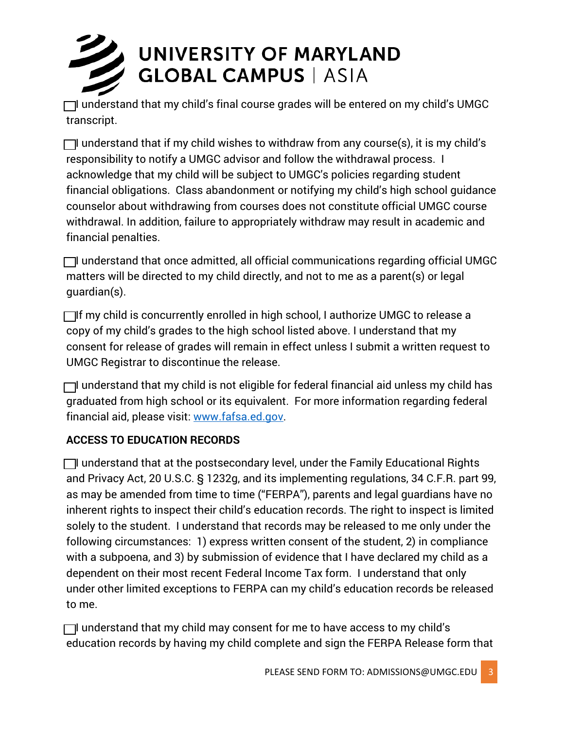

 $\Box$  understand that my child's final course grades will be entered on my child's UMGC transcript.

 $\Box$  understand that if my child wishes to withdraw from any course(s), it is my child's responsibility to notify a UMGC advisor and follow the withdrawal process. I acknowledge that my child will be subject to UMGC's policies regarding student financial obligations. Class abandonment or notifying my child's high school guidance counselor about withdrawing from courses does not constitute official UMGC course withdrawal. In addition, failure to appropriately withdraw may result in academic and financial penalties.

 $\Box$  understand that once admitted, all official communications regarding official UMGC matters will be directed to my child directly, and not to me as a parent(s) or legal guardian(s).

 $\Box$ If my child is concurrently enrolled in high school, I authorize UMGC to release a copy of my child's grades to the high school listed above. I understand that my consent for release of grades will remain in effect unless I submit a written request to UMGC Registrar to discontinue the release.

 $\Box$  understand that my child is not eligible for federal financial aid unless my child has graduated from high school or its equivalent. For more information regarding federal financial aid, please visit: [www.fafsa.ed.gov.](http://www.fafsa.ed.gov/)

#### **ACCESS TO EDUCATION RECORDS**

 $\Box$  understand that at the postsecondary level, under the Family Educational Rights and Privacy Act, 20 U.S.C. § 1232g, and its implementing regulations, 34 C.F.R. part 99, as may be amended from time to time ("FERPA"), parents and legal guardians have no inherent rights to inspect their child's education records. The right to inspect is limited solely to the student. I understand that records may be released to me only under the following circumstances: 1) express written consent of the student, 2) in compliance with a subpoena, and 3) by submission of evidence that I have declared my child as a dependent on their most recent Federal Income Tax form. I understand that only under other limited exceptions to FERPA can my child's education records be released to me.

 $\Box$  understand that my child may consent for me to have access to my child's education records by having my child complete and sign the FERPA Release form that